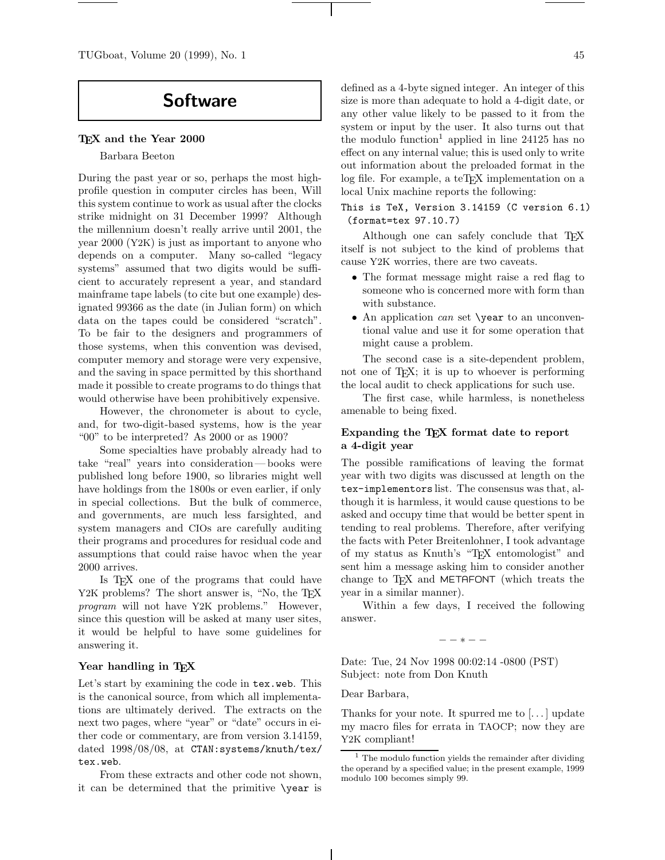# **Software**

## **TEX and the Year 2000**

#### Barbara Beeton

During the past year or so, perhaps the most highprofile question in computer circles has been, Will this system continue to work as usual after the clocks strike midnight on 31 December 1999? Although the millennium doesn't really arrive until 2001, the year 2000 (Y2K) is just as important to anyone who depends on a computer. Many so-called "legacy systems" assumed that two digits would be sufficient to accurately represent a year, and standard mainframe tape labels (to cite but one example) designated 99366 as the date (in Julian form) on which data on the tapes could be considered "scratch". To be fair to the designers and programmers of those systems, when this convention was devised, computer memory and storage were very expensive, and the saving in space permitted by this shorthand made it possible to create programs to do things that would otherwise have been prohibitively expensive.

However, the chronometer is about to cycle, and, for two-digit-based systems, how is the year "00" to be interpreted? As 2000 or as 1900?

Some specialties have probably already had to take "real" years into consideration— books were published long before 1900, so libraries might well have holdings from the 1800s or even earlier, if only in special collections. But the bulk of commerce, and governments, are much less farsighted, and system managers and CIOs are carefully auditing their programs and procedures for residual code and assumptions that could raise havoc when the year 2000 arrives.

Is TEX one of the programs that could have Y2K problems? The short answer is, "No, the T<sub>E</sub>X *program* will not have Y2K problems." However, since this question will be asked at many user sites, it would be helpful to have some guidelines for answering it.

## **Year handling in TEX**

Let's start by examining the code in tex.web. This is the canonical source, from which all implementations are ultimately derived. The extracts on the next two pages, where "year" or "date" occurs in either code or commentary, are from version 3.14159, dated 1998/08/08, at CTAN:systems/knuth/tex/ tex.web.

From these extracts and other code not shown, it can be determined that the primitive \year is

defined as a 4-byte signed integer. An integer of this size is more than adequate to hold a 4-digit date, or any other value likely to be passed to it from the system or input by the user. It also turns out that the modulo function<sup>1</sup> applied in line 24125 has no effect on any internal value; this is used only to write out information about the preloaded format in the log file. For example, a teTEX implementation on a local Unix machine reports the following:

This is TeX, Version 3.14159 (C version 6.1) (format=tex 97.10.7)

Although one can safely conclude that TEX itself is not subject to the kind of problems that cause Y2K worries, there are two caveats.

- The format message might raise a red flag to someone who is concerned more with form than with substance.
- An application *can* set \year to an unconventional value and use it for some operation that might cause a problem.

The second case is a site-dependent problem, not one of T<sub>EX</sub>; it is up to whoever is performing the local audit to check applications for such use.

The first case, while harmless, is nonetheless amenable to being fixed.

# **Expanding the TEX format date to report a 4-digit year**

The possible ramifications of leaving the format year with two digits was discussed at length on the tex-implementors list. The consensus was that, although it is harmless, it would cause questions to be asked and occupy time that would be better spent in tending to real problems. Therefore, after verifying the facts with Peter Breitenlohner, I took advantage of my status as Knuth's "TEX entomologist" and sent him a message asking him to consider another change to TEX and METAFONT (which treats the year in a similar manner).

Within a few days, I received the following answer.

−−∗−−

Date: Tue, 24 Nov 1998 00:02:14 -0800 (PST) Subject: note from Don Knuth

Dear Barbara,

Thanks for your note. It spurred me to [. . . ] update my macro files for errata in TAOCP; now they are Y2K compliant!

 $<sup>1</sup>$  The modulo function yields the remainder after dividing</sup> the operand by a specified value; in the present example, 1999 modulo 100 becomes simply 99.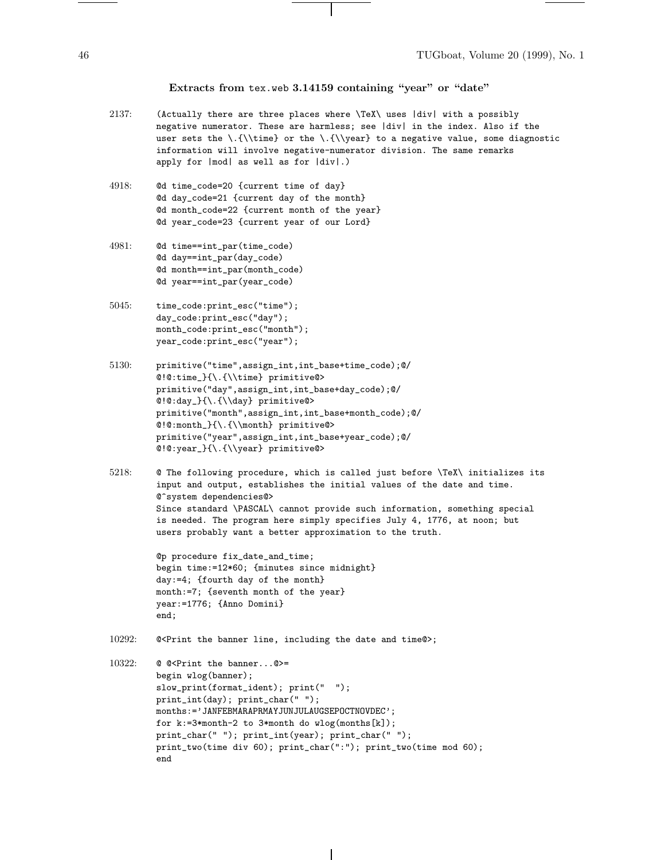#### **Extracts from** tex.web **3.14159 containing "year" or "date"**

- 2137: (Actually there are three places where \TeX\ uses |div| with a possibly negative numerator. These are harmless; see |div| in the index. Also if the user sets the  $\{\{\theta\}$  or the  $\{\{\gamma\}$  to a negative value, some diagnostic information will involve negative-numerator division. The same remarks apply for |mod| as well as for |div|.)
- 4918: @d time\_code=20 {current time of day} @d day\_code=21 {current day of the month} @d month\_code=22 {current month of the year} @d year\_code=23 {current year of our Lord}
- 4981: @d time==int\_par(time\_code) @d day==int\_par(day\_code) @d month==int\_par(month\_code) @d year==int\_par(year\_code)
- 5045: time\_code:print\_esc("time"); day\_code:print\_esc("day"); month\_code:print\_esc("month"); year\_code:print\_esc("year");
- 5130: primitive("time",assign\_int,int\_base+time\_code);@/ @!@:time\_}{\.{\\time} primitive@> primitive("day",assign\_int,int\_base+day\_code);@/ @!@:day\_}{\.{\\day} primitive@> primitive("month",assign\_int,int\_base+month\_code);@/ @!@:month\_}{\.{\\month} primitive@> primitive("year",assign\_int,int\_base+year\_code);@/ @!@:year\_}{\.{\\year} primitive@>
- 5218: @ The following procedure, which is called just before \TeX\ initializes its input and output, establishes the initial values of the date and time. @^system dependencies@> Since standard \PASCAL\ cannot provide such information, something special is needed. The program here simply specifies July 4, 1776, at noon; but users probably want a better approximation to the truth.

@p procedure fix\_date\_and\_time; begin time:=12\*60; {minutes since midnight} day:=4; {fourth day of the month} month:=7; {seventh month of the year} year:=1776; {Anno Domini} end;

- 10292: @<Print the banner line, including the date and time@>;
- 10322: @ @<Print the banner...@>= begin wlog(banner); slow\_print(format\_ident); print(" "); print\_int(day); print\_char(" "); months:='JANFEBMARAPRMAYJUNJULAUGSEPOCTNOVDEC'; for k:=3\*month-2 to 3\*month do wlog(months[k]); print\_char(" "); print\_int(year); print\_char(" "); print\_two(time div 60); print\_char(":"); print\_two(time mod 60); end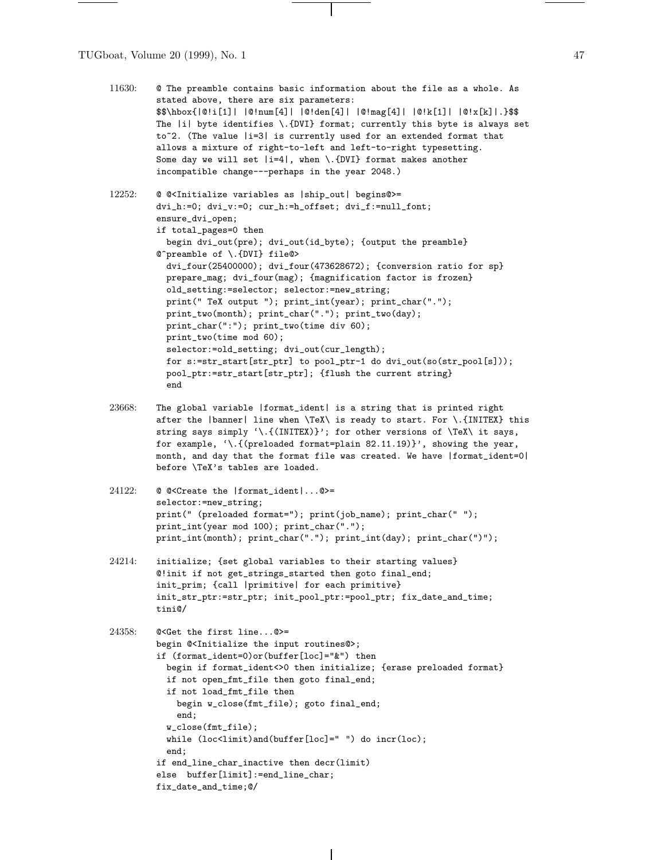TUGboat, Volume 20 (1999), No. 1 47

 $\frac{1}{\sqrt{2\pi}}\left( \frac{1}{\sqrt{2\pi}}\right) \left( \frac{1}{\sqrt{2\pi}}\right) \left( \frac{1}{\sqrt{2\pi}}\right) \left( \frac{1}{\sqrt{2\pi}}\right) \left( \frac{1}{\sqrt{2\pi}}\right) \left( \frac{1}{\sqrt{2\pi}}\right) \left( \frac{1}{\sqrt{2\pi}}\right) \left( \frac{1}{\sqrt{2\pi}}\right) \left( \frac{1}{\sqrt{2\pi}}\right) \left( \frac{1}{\sqrt{2\pi}}\right) \left( \frac{1}{\sqrt{2\pi}}\right) \left( \frac{1}{\sqrt$ 

| 11630: | @ The preamble contains basic information about the file as a whole. As<br>stated above, there are six parameters:<br>\$\$\hbox{ @!i[1]   @!num[4]   @!den[4]   @!mag[4]   @!k[1]   @!x[k] .}\$\$<br>The  i  byte identifies \.{DVI} format; currently this byte is always set<br>to~2. (The value   i=3  is currently used for an extended format that<br>allows a mixture of right-to-left and left-to-right typesetting.<br>Some day we will set $ i=4 $ , when \. {DVI} format makes another<br>incompatible change---perhaps in the year 2048.)                                                                                                                                                                                                                                                                                                                                        |
|--------|---------------------------------------------------------------------------------------------------------------------------------------------------------------------------------------------------------------------------------------------------------------------------------------------------------------------------------------------------------------------------------------------------------------------------------------------------------------------------------------------------------------------------------------------------------------------------------------------------------------------------------------------------------------------------------------------------------------------------------------------------------------------------------------------------------------------------------------------------------------------------------------------|
| 12252: | @ @ <initialize as="" begins@="" variables=""  ship_out ="">=<br/>dvi_h:=0; dvi_v:=0; cur_h:=h_offset; dvi_f:=null_font;<br/>ensure_dvi_open;<br/>if total_pages=0 then<br/>begin dvi_out(pre); dvi_out(id_byte); {output the preamble}<br/>@^preamble of \.{DVI} file@&gt;<br/>dvi_four(25400000); dvi_four(473628672); {conversion ratio for sp}<br/>prepare_mag; dvi_four(mag); {magnification factor is frozen}<br/>old_setting:=selector; selector:=new_string;<br/>print(" TeX output ");    print_int(year);    print_char(".");<br/>print_two(month);    print_char(".");    print_two(day);<br/>print_char(":");    print_two(time div 60);<br/>print_two(time mod 60);<br/>selector:=old_setting; dvi_out(cur_length);<br/>for s:=str_start[str_ptr] to pool_ptr-1 do dvi_out(so(str_pool[s]));<br/>pool_ptr:=str_start[str_ptr]; {flush the current string}<br/>end</initialize> |
| 23668: | The global variable   format_ident  is a string that is printed right<br>after the  banner  line when \TeX\ is ready to start. For \. {INITEX} this<br>string says simply '\.{(INITEX)}'; for other versions of \TeX\ it says,<br>for example, '\.{(preloaded format=plain 82.11.19)}', showing the year,<br>month, and day that the format file was created. We have  format_ident=0 <br>before \TeX's tables are loaded.                                                                                                                                                                                                                                                                                                                                                                                                                                                                  |
| 24122: | @ @ <create the=""  format_ident @="">=<br/>selector:=new_string;<br/>print(" (preloaded format=");    print(job_name);    print_char(" ");<br/>print_int(year mod 100); print_char(".");<br/>print_int(month);    print_char(".");    print_int(day);    print_char(")");</create>                                                                                                                                                                                                                                                                                                                                                                                                                                                                                                                                                                                                         |
| 24214: | initialize; {set global variables to their starting values}<br>@!init if not get_strings_started then goto final_end;<br>init_prim; {call  primitive  for each primitive}<br>init_str_ptr:=str_ptr;    init_pool_ptr:=pool_ptr;    fix_date_and_time;<br>tini@/                                                                                                                                                                                                                                                                                                                                                                                                                                                                                                                                                                                                                             |
| 24358: | @ <get first="" line@="" the="">=<br/>begin @<initialize input="" routines@="" the="">;<br/>if (format_ident=0)or(buffer[loc]="&amp;") then<br/>begin if format_ident&lt;&gt;0 then initialize; {erase preloaded format}<br/>if not open_fmt_file then goto final_end;<br/>if not load_fmt_file then<br/>begin w_close(fmt_file); goto final_end;<br/>end;<br/><math>w_{\text{-}}close(fmt_{\text{-}}file);</math><br/>while (loc<limit)and(buffer[loc]=" ")="" do="" incr(loc);<br="">end;<br/>if end_line_char_inactive then decr(limit)<br/>else buffer[limit]:=end_line_char;<br/>fix_date_and_time;0/</limit)and(buffer[loc]="></initialize></get>                                                                                                                                                                                                                                     |

 $\overline{1}$ 

 $\sim$  100  $\mu$  m  $\sim$ 

 $\overline{\mathbf{L}^{\mathbf{u}}(\mathbf{r})}$ 

 $\frac{1}{2}$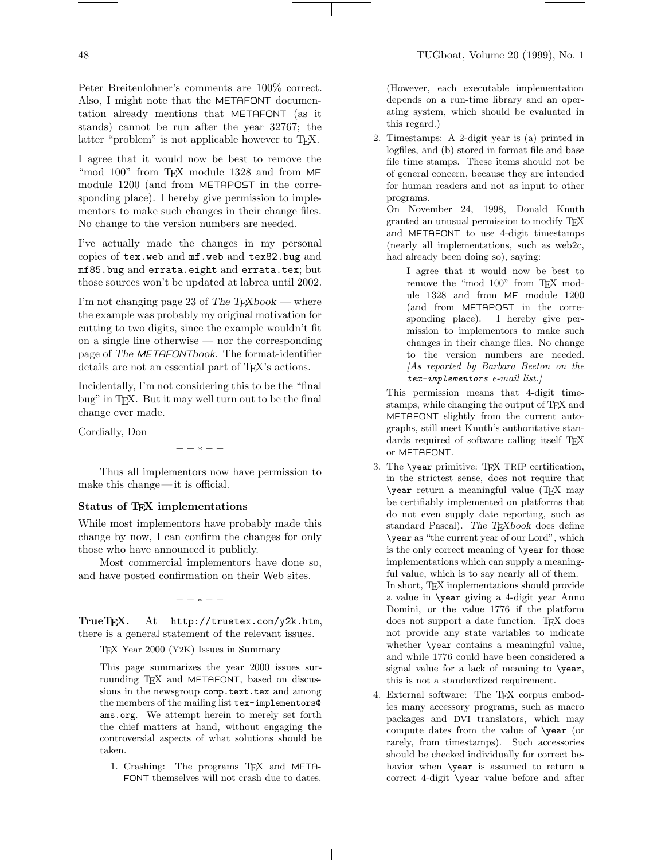Peter Breitenlohner's comments are 100% correct. Also, I might note that the METAFONT documentation already mentions that METAFONT (as it stands) cannot be run after the year 32767; the latter "problem" is not applicable however to TFX.

I agree that it would now be best to remove the "mod 100" from TEX module 1328 and from MF module 1200 (and from METAPOST in the corresponding place). I hereby give permission to implementors to make such changes in their change files. No change to the version numbers are needed.

I've actually made the changes in my personal copies of tex.web and mf.web and tex82.bug and mf85.bug and errata.eight and errata.tex; but those sources won't be updated at labrea until 2002.

I'm not changing page 23 of The  $T_F X book$  — where the example was probably my original motivation for cutting to two digits, since the example wouldn't fit on a single line otherwise — nor the corresponding page of The METAFONTbook. The format-identifier details are not an essential part of T<sub>EX</sub>'s actions.

Incidentally, I'm not considering this to be the "final bug" in TEX. But it may well turn out to be the final change ever made.

Cordially, Don

−−∗−−

Thus all implementors now have permission to make this change— it is official.

# **Status of TEX implementations**

While most implementors have probably made this change by now, I can confirm the changes for only those who have announced it publicly.

Most commercial implementors have done so, and have posted confirmation on their Web sites.

−−∗−−

**TrueTEX.** At http://truetex.com/y2k.htm, there is a general statement of the relevant issues.

TEX Year 2000 (Y2K) Issues in Summary

This page summarizes the year 2000 issues surrounding T<sub>F</sub>X and METAFONT, based on discussions in the newsgroup comp.text.tex and among the members of the mailing list tex-implementors@ ams.org. We attempt herein to merely set forth the chief matters at hand, without engaging the controversial aspects of what solutions should be taken.

1. Crashing: The programs TEX and META-FONT themselves will not crash due to dates.

(However, each executable implementation depends on a run-time library and an operating system, which should be evaluated in this regard.)

2. Timestamps: A 2-digit year is (a) printed in logfiles, and (b) stored in format file and base file time stamps. These items should not be of general concern, because they are intended for human readers and not as input to other programs.

On November 24, 1998, Donald Knuth granted an unusual permission to modify TEX and METAFONT to use 4-digit timestamps (nearly all implementations, such as web2c, had already been doing so), saying:

I agree that it would now be best to remove the "mod 100" from TFX module 1328 and from MF module 1200 (and from METAPOST in the corresponding place). I hereby give permission to implementors to make such changes in their change files. No change to the version numbers are needed. [As reported by Barbara Beeton on the  $text =$ implementors e-mail list.

This permission means that 4-digit timestamps, while changing the output of TEX and METAFONT slightly from the current autographs, still meet Knuth's authoritative standards required of software calling itself TEX or METAFONT.

- 3. The \year primitive: TEX TRIP certification, in the strictest sense, does not require that \year return a meaningful value (TEX may be certifiably implemented on platforms that do not even supply date reporting, such as standard Pascal). The TEXbook does define \year as "the current year of our Lord", which is the only correct meaning of \year for those implementations which can supply a meaningful value, which is to say nearly all of them. In short, TEX implementations should provide a value in \year giving a 4-digit year Anno Domini, or the value 1776 if the platform does not support a date function. TEX does not provide any state variables to indicate whether \year contains a meaningful value, and while 1776 could have been considered a signal value for a lack of meaning to \year, this is not a standardized requirement.
- 4. External software: The TEX corpus embodies many accessory programs, such as macro packages and DVI translators, which may compute dates from the value of \year (or rarely, from timestamps). Such accessories should be checked individually for correct behavior when \year is assumed to return a correct 4-digit \year value before and after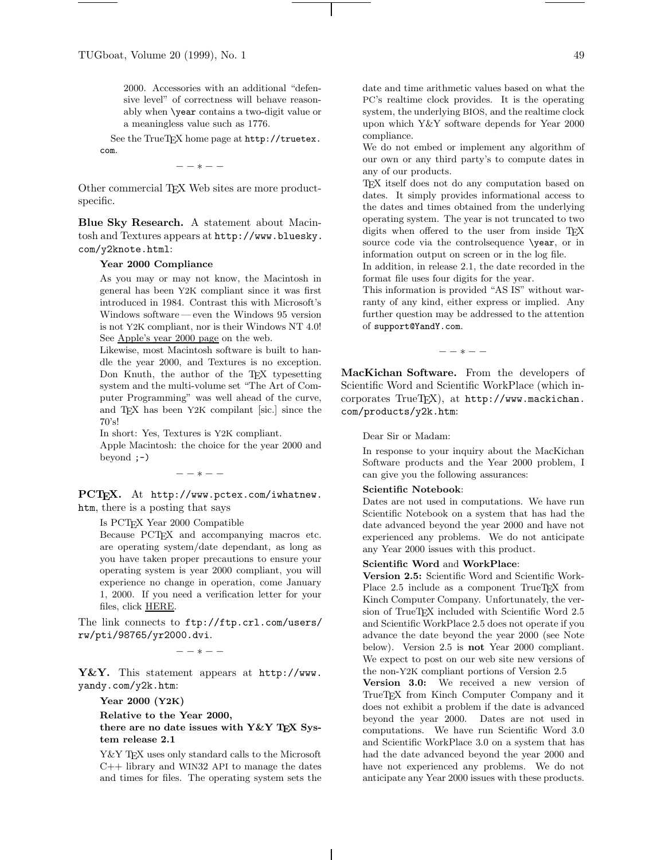2000. Accessories with an additional "defensive level" of correctness will behave reasonably when \year contains a two-digit value or a meaningless value such as 1776.

See the TrueTEX home page at http://truetex. com.

−−∗−−

Other commercial T<sub>EX</sub> Web sites are more productspecific.

**Blue Sky Research.** A statement about Macintosh and Textures appears at http://www.bluesky. com/y2knote.html:

## **Year 2000 Compliance**

As you may or may not know, the Macintosh in general has been Y2K compliant since it was first introduced in 1984. Contrast this with Microsoft's Windows software — even the Windows 95 version is not Y2K compliant, nor is their Windows NT 4.0! See Apple's year 2000 page on the web.

Likewise, most Macintosh software is built to handle the year 2000, and Textures is no exception. Don Knuth, the author of the T<sub>E</sub>X typesetting system and the multi-volume set "The Art of Computer Programming" was well ahead of the curve, and TEX has been Y2K compilant [sic.] since the 70's!

In short: Yes, Textures is Y2K compliant.

Apple Macintosh: the choice for the year 2000 and beyond  $;$ - $)$ 

−−∗−−

**PCTEX.** At http://www.pctex.com/iwhatnew. htm, there is a posting that says

Is PCTEX Year 2000 Compatible

Because PCTEX and accompanying macros etc. are operating system/date dependant, as long as you have taken proper precautions to ensure your operating system is year 2000 compliant, you will experience no change in operation, come January 1, 2000. If you need a verification letter for your files, click HERE.

The link connects to ftp://ftp.crl.com/users/ rw/pti/98765/yr2000.dvi.

−−∗−−

**Y&Y.** This statement appears at http://www. yandy.com/y2k.htm:

**Year 2000 (Y2K)**

**Relative to the Year 2000,**

**there are no date issues with Y&Y TEX System release 2.1**

Y&Y TFX uses only standard calls to the Microsoft C++ library and WIN32 API to manage the dates and times for files. The operating system sets the date and time arithmetic values based on what the PC's realtime clock provides. It is the operating system, the underlying BIOS, and the realtime clock upon which Y&Y software depends for Year 2000 compliance.

We do not embed or implement any algorithm of our own or any third party's to compute dates in any of our products.

TEX itself does not do any computation based on dates. It simply provides informational access to the dates and times obtained from the underlying operating system. The year is not truncated to two digits when offered to the user from inside TFX source code via the controlsequence \year, or in information output on screen or in the log file.

In addition, in release 2.1, the date recorded in the format file uses four digits for the year.

This information is provided "AS IS" without warranty of any kind, either express or implied. Any further question may be addressed to the attention of support@YandY.com.

−−∗−−

**MacKichan Software.** From the developers of Scientific Word and Scientific WorkPlace (which incorporates TrueTEX), at http://www.mackichan. com/products/y2k.htm:

Dear Sir or Madam:

In response to your inquiry about the MacKichan Software products and the Year 2000 problem, I can give you the following assurances:

#### **Scientific Notebook**:

Dates are not used in computations. We have run Scientific Notebook on a system that has had the date advanced beyond the year 2000 and have not experienced any problems. We do not anticipate any Year 2000 issues with this product.

#### **Scientific Word** and **WorkPlace**:

**Version 2.5:** Scientific Word and Scientific Work-Place 2.5 include as a component TrueT<sub>EX</sub> from Kinch Computer Company. Unfortunately, the version of TrueTEX included with Scientific Word 2.5 and Scientific WorkPlace 2.5 does not operate if you advance the date beyond the year 2000 (see Note below). Version 2.5 is **not** Year 2000 compliant. We expect to post on our web site new versions of the non-Y2K compliant portions of Version 2.5

**Version 3.0:** We received a new version of TrueTEX from Kinch Computer Company and it does not exhibit a problem if the date is advanced beyond the year 2000. Dates are not used in computations. We have run Scientific Word 3.0 and Scientific WorkPlace 3.0 on a system that has had the date advanced beyond the year 2000 and have not experienced any problems. We do not anticipate any Year 2000 issues with these products.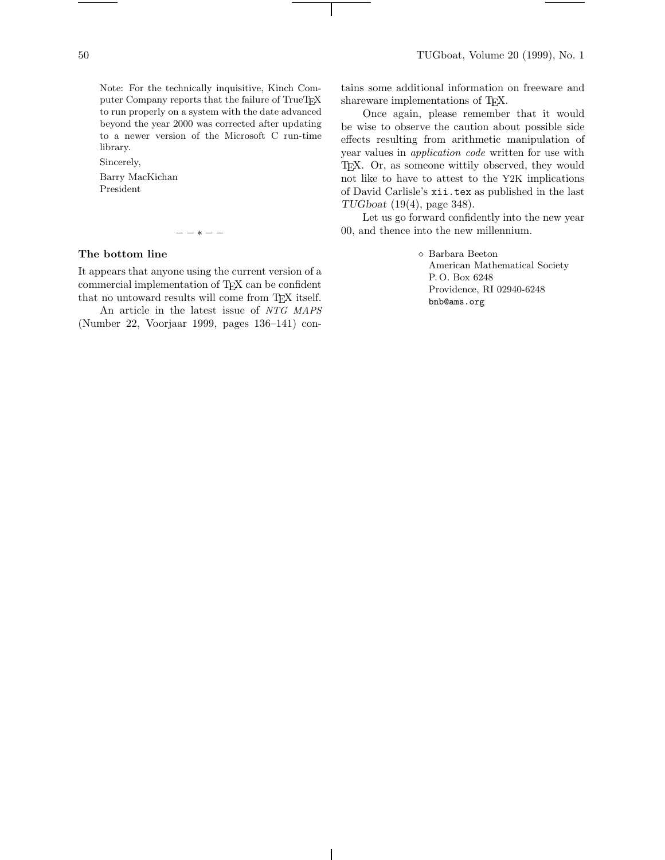Note: For the technically inquisitive, Kinch Computer Company reports that the failure of TrueTEX to run properly on a system with the date advanced beyond the year 2000 was corrected after updating to a newer version of the Microsoft C run-time library.

Sincerely,

Barry MacKichan President

−−∗−−

# **The bottom line**

It appears that anyone using the current version of a commercial implementation of TEX can be confident that no untoward results will come from TEX itself.

An article in the latest issue of NTG MAPS (Number 22, Voorjaar 1999, pages 136–141) con-

tains some additional information on freeware and shareware implementations of T<sub>E</sub>X.

Once again, please remember that it would be wise to observe the caution about possible side effects resulting from arithmetic manipulation of year values in *application code* written for use with TEX. Or, as someone wittily observed, they would not like to have to attest to the Y2K implications of David Carlisle's xii.tex as published in the last TUGboat (19(4), page 348).

Let us go forward confidently into the new year 00, and thence into the new millennium.

> Barbara Beeton American Mathematical Society P. O. Box 6248 Providence, RI 02940-6248 bnb@ams.org